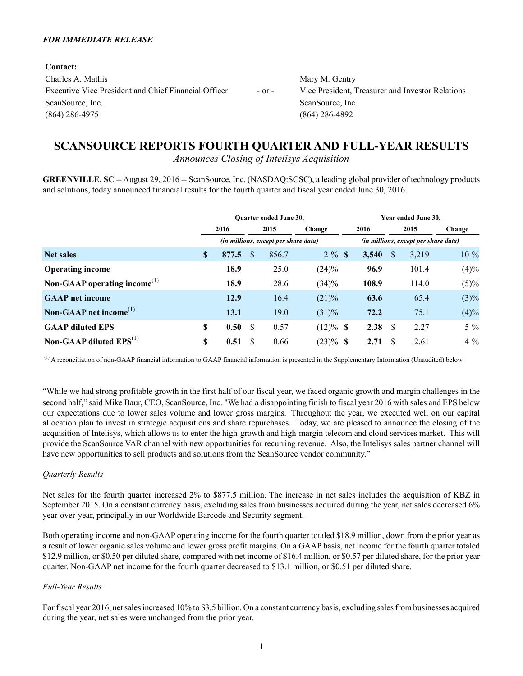### *FOR IMMEDIATE RELEASE*

**Contact:**

| Contact:                                             |            |                                                  |
|------------------------------------------------------|------------|--------------------------------------------------|
| Charles A. Mathis                                    |            | Mary M. Gentry                                   |
| Executive Vice President and Chief Financial Officer | $-$ or $-$ | Vice President, Treasurer and Investor Relations |
| ScanSource, Inc.                                     |            | ScanSource, Inc.                                 |
| $(864)$ 286-4975                                     |            | $(864)$ 286-4892                                 |
|                                                      |            |                                                  |

# **SCANSOURCE REPORTS FOURTH QUARTER AND FULL-YEAR RESULTS**

*Announces Closing of Intelisys Acquisition*

**GREENVILLE, SC** -- August 29, 2016 -- ScanSource, Inc. (NASDAQ:SCSC), a leading global provider of technology products and solutions, today announced financial results for the fourth quarter and fiscal year ended June 30, 2016.

|                                                       |   |       | <b>Ouarter ended June 30,</b> |                                             | Year ended June 30, |       |              |                                             |         |  |  |  |
|-------------------------------------------------------|---|-------|-------------------------------|---------------------------------------------|---------------------|-------|--------------|---------------------------------------------|---------|--|--|--|
|                                                       |   | 2016  |                               | 2015                                        | Change              | 2016  |              | 2015                                        | Change  |  |  |  |
|                                                       |   |       |                               | <i>(in millions, except per share data)</i> |                     |       |              | <i>(in millions, except per share data)</i> |         |  |  |  |
| <b>Net sales</b>                                      | S | 877.5 | \$.                           | 856.7                                       | $2\%$ \$            | 3,540 | <sup>S</sup> | 3,219                                       | $10\%$  |  |  |  |
| <b>Operating income</b>                               |   | 18.9  |                               | 25.0                                        | $(24)\%$            | 96.9  |              | 101.4                                       | (4)%    |  |  |  |
| Non-GAAP operating income <sup><math>(1)</math></sup> |   | 18.9  |                               | 28.6                                        | (34)%               | 108.9 |              | 114.0                                       | $(5)\%$ |  |  |  |
| <b>GAAP</b> net income                                |   | 12.9  |                               | 16.4                                        | $(21)\%$            | 63.6  |              | 65.4                                        | $(3)\%$ |  |  |  |
| Non-GAAP net income <sup>(1)</sup>                    |   | 13.1  |                               | 19.0                                        | $(31)\%$            | 72.2  |              | 75.1                                        | (4)%    |  |  |  |
| <b>GAAP diluted EPS</b>                               | S | 0.50  | <sup>\$</sup>                 | 0.57                                        | $(12)\%$ \$         | 2.38  | <sup>S</sup> | 2.27                                        | $5\%$   |  |  |  |
| Non-GAAP diluted $EPS^{(1)}$                          | S | 0.51  | \$.                           | 0.66                                        | $(23)\%$ \$         | 2.71  | <sup>S</sup> | 2.61                                        | $4\%$   |  |  |  |

(1) A reconciliation of non-GAAP financial information to GAAP financial information is presented in the Supplementary Information (Unaudited) below.

"While we had strong profitable growth in the first half of our fiscal year, we faced organic growth and margin challenges in the second half," said Mike Baur, CEO, ScanSource, Inc. "We had a disappointing finish to fiscal year 2016 with sales and EPS below our expectations due to lower sales volume and lower gross margins. Throughout the year, we executed well on our capital allocation plan to invest in strategic acquisitions and share repurchases. Today, we are pleased to announce the closing of the acquisition of Intelisys, which allows us to enter the high-growth and high-margin telecom and cloud services market. This will provide the ScanSource VAR channel with new opportunities for recurring revenue. Also, the Intelisys sales partner channel will have new opportunities to sell products and solutions from the ScanSource vendor community."

### *Quarterly Results*

Net sales for the fourth quarter increased 2% to \$877.5 million. The increase in net sales includes the acquisition of KBZ in September 2015. On a constant currency basis, excluding sales from businesses acquired during the year, net sales decreased 6% year-over-year, principally in our Worldwide Barcode and Security segment.

Both operating income and non-GAAPoperating income for the fourth quarter totaled \$18.9 million, down from the prior year as a result of lower organic sales volume and lower gross profit margins. On a GAAPbasis, net income for the fourth quarter totaled \$12.9 million, or \$0.50 per diluted share, compared with net income of \$16.4 million, or \$0.57 per diluted share, for the prior year quarter. Non-GAAP net income for the fourth quarter decreased to \$13.1 million, or \$0.51 per diluted share.

### *Full-Year Results*

For fiscal year 2016, net sales increased 10% to \$3.5 billion. On a constant currency basis, excluding sales from businesses acquired during the year, net sales were unchanged from the prior year.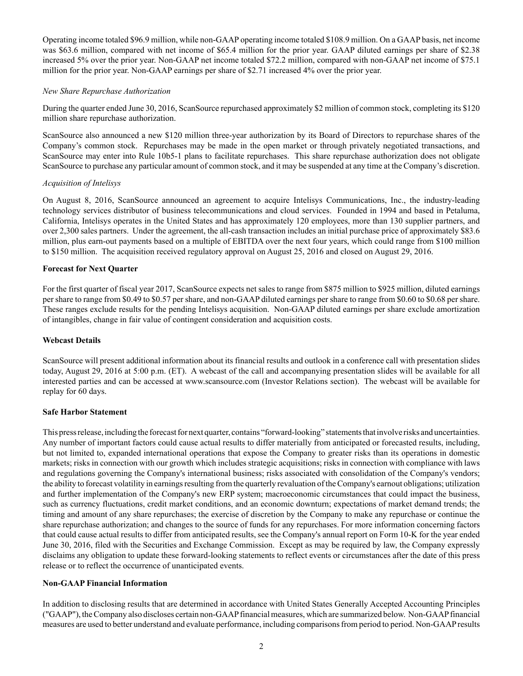Operating income totaled \$96.9 million, while non-GAAPoperating income totaled \$108.9 million. On a GAAPbasis, net income was \$63.6 million, compared with net income of \$65.4 million for the prior year. GAAP diluted earnings per share of \$2.38 increased 5% over the prior year. Non-GAAP net income totaled \$72.2 million, compared with non-GAAP net income of \$75.1 million for the prior year. Non-GAAP earnings per share of \$2.71 increased 4% over the prior year.

### *New Share Repurchase Authorization*

During the quarter ended June 30, 2016, ScanSource repurchased approximately \$2 million of common stock, completing its \$120 million share repurchase authorization.

ScanSource also announced a new \$120 million three-year authorization by its Board of Directors to repurchase shares of the Company's common stock. Repurchases may be made in the open market or through privately negotiated transactions, and ScanSource may enter into Rule 10b5-1 plans to facilitate repurchases. This share repurchase authorization does not obligate ScanSource to purchase any particular amount of common stock, and it may be suspended at any time at the Company's discretion.

### *Acquisition of Intelisys*

On August 8, 2016, ScanSource announced an agreement to acquire Intelisys Communications, Inc., the industry-leading technology services distributor of business telecommunications and cloud services. Founded in 1994 and based in Petaluma, California, Intelisys operates in the United States and has approximately 120 employees, more than 130 supplier partners, and over 2,300 sales partners. Under the agreement, the all-cash transaction includes an initial purchase price of approximately \$83.6 million, plus earn-out payments based on a multiple of EBITDA over the next four years, which could range from \$100 million to \$150 million. The acquisition received regulatory approval on August 25, 2016 and closed on August 29, 2016.

### **Forecast for Next Quarter**

For the first quarter of fiscal year 2017, ScanSource expects net sales to range from \$875 million to \$925 million, diluted earnings per share to range from \$0.49 to \$0.57 per share, and non-GAAPdiluted earnings per share to range from \$0.60 to \$0.68 per share. These ranges exclude results for the pending Intelisys acquisition. Non-GAAP diluted earnings per share exclude amortization of intangibles, change in fair value of contingent consideration and acquisition costs.

### **Webcast Details**

ScanSource will present additional information about its financial results and outlook in a conference call with presentation slides today, August 29, 2016 at 5:00 p.m. (ET). A webcast of the call and accompanying presentation slides will be available for all interested parties and can be accessed at www.scansource.com (Investor Relations section). The webcast will be available for replay for 60 days.

### **Safe Harbor Statement**

This press release, including the forecast for next quarter, contains "forward-looking" statements that involve risks and uncertainties. Any number of important factors could cause actual results to differ materially from anticipated or forecasted results, including, but not limited to, expanded international operations that expose the Company to greater risks than its operations in domestic markets; risks in connection with our growth which includes strategic acquisitions; risks in connection with compliance with laws and regulations governing the Company's international business; risks associated with consolidation of the Company's vendors; the ability to forecast volatility in earnings resulting from the quarterly revaluation of the Company's earnout obligations; utilization and further implementation of the Company's new ERP system; macroeconomic circumstances that could impact the business, such as currency fluctuations, credit market conditions, and an economic downturn; expectations of market demand trends; the timing and amount of any share repurchases; the exercise of discretion by the Company to make any repurchase or continue the share repurchase authorization; and changes to the source of funds for any repurchases. For more information concerning factors that could cause actual results to differ from anticipated results, see the Company's annual report on Form 10-K for the year ended June 30, 2016, filed with the Securities and Exchange Commission. Except as may be required by law, the Company expressly disclaims any obligation to update these forward-looking statements to reflect events or circumstances after the date of this press release or to reflect the occurrence of unanticipated events.

### **Non-GAAP Financial Information**

In addition to disclosing results that are determined in accordance with United States Generally Accepted Accounting Principles ("GAAP"), the Company also discloses certain non-GAAPfinancial measures, which are summarized below. Non-GAAPfinancial measures are used to better understand and evaluate performance, including comparisons from period to period. Non-GAAPresults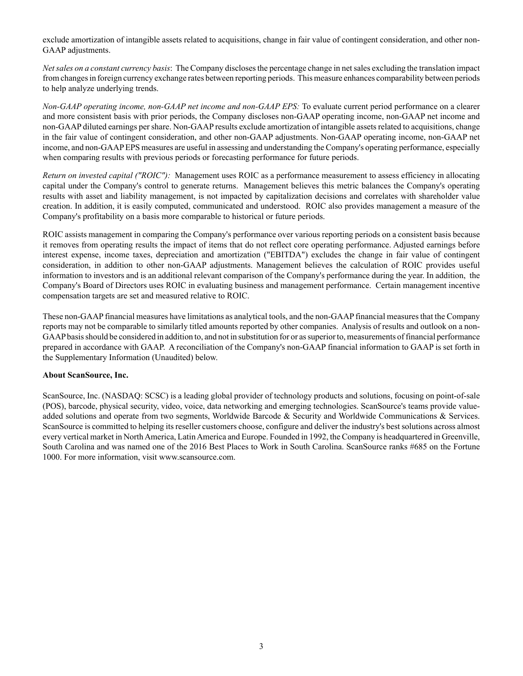exclude amortization of intangible assets related to acquisitions, change in fair value of contingent consideration, and other non-GAAP adjustments.

*Net sales on a constant currency basis*: The Company discloses the percentage change in net sales excluding the translation impact from changes in foreign currency exchange rates between reporting periods. This measure enhances comparability between periods to help analyze underlying trends.

*Non-GAAP operating income, non-GAAP net income and non-GAAP EPS:* To evaluate current period performance on a clearer and more consistent basis with prior periods, the Company discloses non-GAAP operating income, non-GAAP net income and non-GAAPdiluted earnings per share. Non-GAAPresults exclude amortization of intangible assets related to acquisitions, change in the fair value of contingent consideration, and other non-GAAP adjustments. Non-GAAP operating income, non-GAAP net income, and non-GAAPEPS measures are useful in assessing and understanding the Company's operating performance, especially when comparing results with previous periods or forecasting performance for future periods.

*Return on invested capital ("ROIC"):* Management uses ROIC as a performance measurement to assess efficiency in allocating capital under the Company's control to generate returns. Management believes this metric balances the Company's operating results with asset and liability management, is not impacted by capitalization decisions and correlates with shareholder value creation. In addition, it is easily computed, communicated and understood. ROIC also provides management a measure of the Company's profitability on a basis more comparable to historical or future periods.

ROIC assists management in comparing the Company's performance over various reporting periods on a consistent basis because it removes from operating results the impact of items that do not reflect core operating performance. Adjusted earnings before interest expense, income taxes, depreciation and amortization ("EBITDA") excludes the change in fair value of contingent consideration, in addition to other non-GAAP adjustments. Management believes the calculation of ROIC provides useful information to investors and is an additional relevant comparison of the Company's performance during the year. In addition, the Company's Board of Directors uses ROIC in evaluating business and management performance. Certain management incentive compensation targets are set and measured relative to ROIC.

These non-GAAPfinancial measures have limitations as analytical tools, and the non-GAAPfinancial measures that the Company reports may not be comparable to similarly titled amounts reported by other companies. Analysis of results and outlook on a non-GAAPbasis should be considered in addition to, and not in substitution for or as superior to, measurements of financial performance prepared in accordance with GAAP. A reconciliation of the Company's non-GAAPfinancial information to GAAPis set forth in the Supplementary Information (Unaudited) below.

### **About ScanSource, Inc.**

ScanSource, Inc. (NASDAQ: SCSC) is a leading global provider of technology products and solutions, focusing on point-of-sale (POS), barcode, physical security, video, voice, data networking and emerging technologies. ScanSource's teams provide valueadded solutions and operate from two segments, Worldwide Barcode & Security and Worldwide Communications & Services. ScanSource is committed to helping its reseller customers choose, configure and deliver the industry's best solutions across almost every vertical market in North America, Latin America and Europe. Founded in 1992, the Company is headquartered in Greenville, South Carolina and was named one of the 2016 Best Places to Work in South Carolina. ScanSource ranks #685 on the Fortune 1000. For more information, visit www.scansource.com.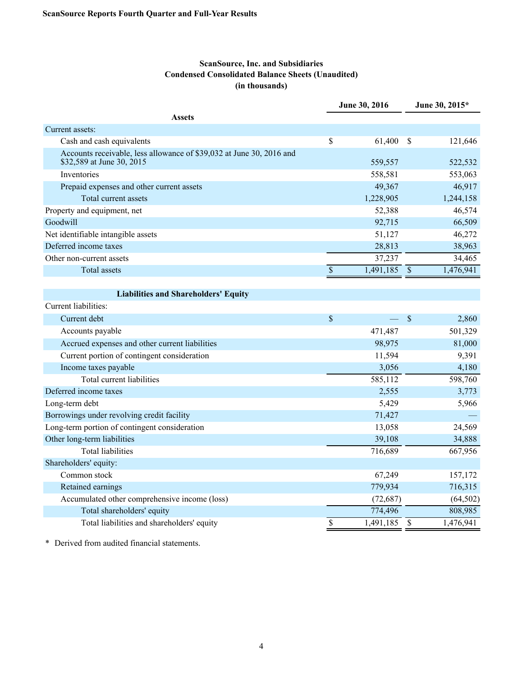### **ScanSource, Inc. and Subsidiaries Condensed Consolidated Balance Sheets (Unaudited) (in thousands)**

|                                                                                                   |               | June 30, 2016 | June 30, 2015*           |           |  |
|---------------------------------------------------------------------------------------------------|---------------|---------------|--------------------------|-----------|--|
| <b>Assets</b>                                                                                     |               |               |                          |           |  |
| Current assets:                                                                                   |               |               |                          |           |  |
| Cash and cash equivalents                                                                         | \$            | 61,400        | $\mathcal{S}$            | 121,646   |  |
| Accounts receivable, less allowance of \$39,032 at June 30, 2016 and<br>\$32,589 at June 30, 2015 |               | 559,557       |                          | 522,532   |  |
| Inventories                                                                                       |               | 558,581       |                          | 553,063   |  |
| Prepaid expenses and other current assets                                                         |               | 49,367        |                          | 46,917    |  |
| Total current assets                                                                              |               | 1,228,905     |                          | 1,244,158 |  |
| Property and equipment, net                                                                       |               | 52,388        |                          | 46,574    |  |
| Goodwill                                                                                          |               | 92,715        |                          | 66,509    |  |
| Net identifiable intangible assets                                                                |               | 51,127        |                          | 46,272    |  |
| Deferred income taxes                                                                             |               | 28,813        |                          | 38,963    |  |
| Other non-current assets                                                                          |               | 37,237        |                          | 34,465    |  |
| <b>Total assets</b>                                                                               | $\mathsf{\$}$ | 1,491,185     | $\overline{\mathcal{S}}$ | 1,476,941 |  |
|                                                                                                   |               |               |                          |           |  |
| <b>Liabilities and Shareholders' Equity</b>                                                       |               |               |                          |           |  |
| Current liabilities:                                                                              |               |               |                          |           |  |
| Current debt                                                                                      | \$            |               | $\mathcal{S}$            | 2,860     |  |
| Accounts payable                                                                                  |               | 471,487       |                          | 501,329   |  |
| Accrued expenses and other current liabilities                                                    |               | 98,975        |                          | 81,000    |  |
| Current portion of contingent consideration                                                       |               | 11,594        |                          | 9,391     |  |
| Income taxes payable                                                                              |               | 3,056         |                          | 4,180     |  |
| Total current liabilities                                                                         |               | 585,112       |                          | 598,760   |  |
| Deferred income taxes                                                                             |               | 2,555         |                          | 3,773     |  |
| Long-term debt                                                                                    |               | 5,429         |                          | 5,966     |  |
| Borrowings under revolving credit facility                                                        |               | 71,427        |                          |           |  |
| Long-term portion of contingent consideration                                                     |               | 13,058        |                          | 24,569    |  |
| Other long-term liabilities                                                                       |               | 39,108        |                          | 34,888    |  |
| <b>Total liabilities</b>                                                                          |               | 716,689       |                          | 667,956   |  |
| Shareholders' equity:                                                                             |               |               |                          |           |  |
| Common stock                                                                                      |               | 67,249        |                          | 157,172   |  |
| Retained earnings                                                                                 |               | 779,934       |                          | 716,315   |  |
| Accumulated other comprehensive income (loss)                                                     |               | (72, 687)     |                          | (64, 502) |  |
| Total shareholders' equity                                                                        |               | 774,496       |                          | 808,985   |  |
| Total liabilities and shareholders' equity                                                        | \$            | 1,491,185     | $\mathcal{S}$            | 1,476,941 |  |

\* Derived from audited financial statements.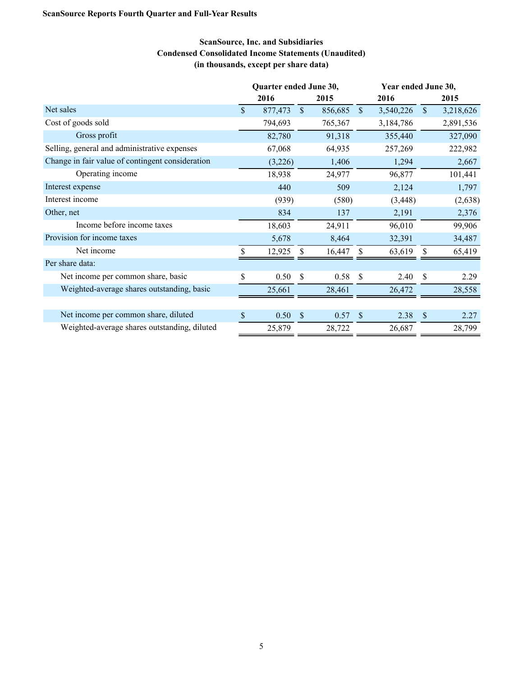### **ScanSource, Inc. and Subsidiaries Condensed Consolidated Income Statements (Unaudited) (in thousands, except per share data)**

|                                                  | Quarter ended June 30, |         |               |         |                      | Year ended June 30, |               |           |  |  |
|--------------------------------------------------|------------------------|---------|---------------|---------|----------------------|---------------------|---------------|-----------|--|--|
|                                                  |                        | 2016    |               | 2015    |                      | 2016                |               | 2015      |  |  |
| Net sales                                        | \$                     | 877,473 | <sup>S</sup>  | 856,685 | <sup>S</sup>         | 3,540,226           | $\mathbb{S}$  | 3,218,626 |  |  |
| Cost of goods sold                               |                        | 794,693 |               | 765,367 |                      | 3,184,786           |               | 2,891,536 |  |  |
| Gross profit                                     |                        | 82,780  |               | 91,318  |                      | 355,440             |               | 327,090   |  |  |
| Selling, general and administrative expenses     |                        | 67,068  |               | 64,935  |                      | 257,269             |               | 222,982   |  |  |
| Change in fair value of contingent consideration |                        | (3,226) |               | 1,406   |                      | 1,294               |               | 2,667     |  |  |
| Operating income                                 |                        | 18,938  |               | 24,977  |                      | 96,877              |               | 101,441   |  |  |
| Interest expense                                 |                        | 440     |               | 509     |                      | 2,124               |               | 1,797     |  |  |
| Interest income                                  |                        | (939)   |               | (580)   |                      | (3, 448)            |               | (2,638)   |  |  |
| Other, net                                       |                        | 834     |               | 137     |                      | 2,191               |               | 2,376     |  |  |
| Income before income taxes                       |                        | 18,603  |               | 24,911  |                      | 96,010              |               | 99,906    |  |  |
| Provision for income taxes                       |                        | 5,678   |               | 8,464   |                      | 32,391              |               | 34,487    |  |  |
| Net income                                       | \$                     | 12,925  | S             | 16,447  | S                    | 63,619              | \$            | 65,419    |  |  |
| Per share data:                                  |                        |         |               |         |                      |                     |               |           |  |  |
| Net income per common share, basic               | \$                     | 0.50    | $\mathcal{S}$ | 0.58    | - \$                 | 2.40                | <sup>\$</sup> | 2.29      |  |  |
| Weighted-average shares outstanding, basic       |                        | 25,661  |               | 28,461  |                      | 26,472              |               | 28,558    |  |  |
|                                                  |                        |         |               |         |                      |                     |               |           |  |  |
| Net income per common share, diluted             | \$                     | 0.50    | $\mathcal{S}$ | 0.57    | $\sqrt{\frac{2}{5}}$ | 2.38                | $\mathcal{S}$ | 2.27      |  |  |
| Weighted-average shares outstanding, diluted     |                        | 25,879  |               | 28,722  |                      | 26,687              |               | 28,799    |  |  |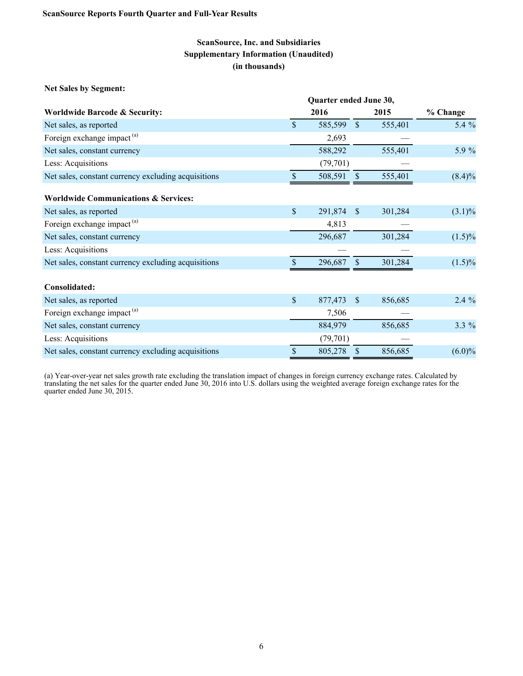**Net Sales by Segment:**

| <b>Worldwide Barcode &amp; Security:</b>            |              | 2016      |               | 2015    | % Change  |  |  |
|-----------------------------------------------------|--------------|-----------|---------------|---------|-----------|--|--|
| Net sales, as reported                              | $\mathbb{S}$ | 585,599   | $\sqrt{\ }$   | 555,401 | 5.4 %     |  |  |
| Foreign exchange impact <sup>(a)</sup>              |              | 2,693     |               |         |           |  |  |
| Net sales, constant currency                        |              | 588,292   |               | 555,401 | 5.9 %     |  |  |
| Less: Acquisitions                                  |              | (79, 701) |               |         |           |  |  |
| Net sales, constant currency excluding acquisitions |              | 508,591   | \$            | 555,401 | $(8.4)\%$ |  |  |
| <b>Worldwide Communications &amp; Services:</b>     |              |           |               |         |           |  |  |
| Net sales, as reported                              | \$           | 291,874   | $\mathbb{S}$  | 301,284 | $(3.1)\%$ |  |  |
| Foreign exchange impact <sup>(a)</sup>              |              | 4,813     |               |         |           |  |  |
| Net sales, constant currency                        |              | 296,687   |               | 301,284 | $(1.5)\%$ |  |  |
| Less: Acquisitions                                  |              |           |               |         |           |  |  |
| Net sales, constant currency excluding acquisitions |              | 296,687   | <sup>\$</sup> | 301,284 | $(1.5)\%$ |  |  |
| Consolidated:                                       |              |           |               |         |           |  |  |
| Net sales, as reported                              | \$           | 877,473   | \$            | 856,685 | 2.4 %     |  |  |
| Foreign exchange impact <sup>(a)</sup>              |              | 7,506     |               |         |           |  |  |
| Net sales, constant currency                        |              | 884,979   |               | 856,685 | $3.3\%$   |  |  |
| Less: Acquisitions                                  |              | (79, 701) |               |         |           |  |  |
| Net sales, constant currency excluding acquisitions | \$           | 805,278   | $\sqrt{\ }$   | 856,685 | $(6.0)\%$ |  |  |

(a) Year-over-year net sales growth rate excluding the translation impact of changes in foreign currency exchange rates. Calculated by translating the net sales for the quarter ended June 30, 2016 into U.S. dollars using the weighted average foreign exchange rates for the quarter ended June 30, 2015.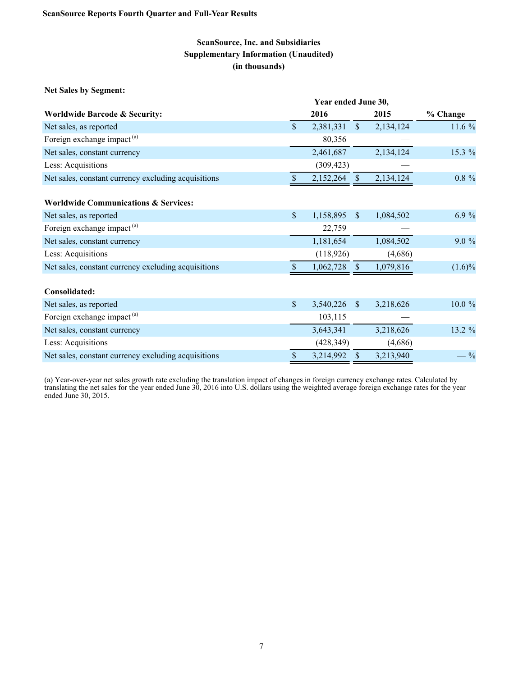**Net Sales by Segment:**

| Worldwide Barcode & Security:                       |    | 2016       |               | 2015      | % Change  |
|-----------------------------------------------------|----|------------|---------------|-----------|-----------|
| Net sales, as reported                              | \$ | 2,381,331  | $\mathbb{S}$  | 2,134,124 | 11.6%     |
| Foreign exchange impact <sup>(a)</sup>              |    | 80,356     |               |           |           |
| Net sales, constant currency                        |    | 2,461,687  |               | 2,134,124 | 15.3 %    |
| Less: Acquisitions                                  |    | (309, 423) |               |           |           |
| Net sales, constant currency excluding acquisitions |    | 2,152,264  | <sup>\$</sup> | 2,134,124 | $0.8 \%$  |
| <b>Worldwide Communications &amp; Services:</b>     |    |            |               |           |           |
| Net sales, as reported                              | \$ | 1,158,895  | $\mathbb{S}$  | 1,084,502 | 6.9 %     |
| Foreign exchange impact <sup>(a)</sup>              |    | 22,759     |               |           |           |
| Net sales, constant currency                        |    | 1,181,654  |               | 1,084,502 | 9.0 %     |
| Less: Acquisitions                                  |    | (118, 926) |               | (4,686)   |           |
| Net sales, constant currency excluding acquisitions |    | 1,062,728  | $\mathbb{S}$  | 1,079,816 | $(1.6)\%$ |
| Consolidated:                                       |    |            |               |           |           |
| Net sales, as reported                              | \$ | 3,540,226  | $\mathbb{S}$  | 3,218,626 | 10.0 %    |
| Foreign exchange impact <sup>(a)</sup>              |    | 103,115    |               |           |           |
| Net sales, constant currency                        |    | 3,643,341  |               | 3,218,626 | 13.2 %    |
| Less: Acquisitions                                  |    | (428, 349) |               | (4,686)   |           |
| Net sales, constant currency excluding acquisitions | \$ | 3,214,992  | \$            | 3,213,940 | $-$ %     |

(a) Year-over-year net sales growth rate excluding the translation impact of changes in foreign currency exchange rates. Calculated by translating the net sales for the year ended June 30, 2016 into U.S. dollars using the weighted average foreign exchange rates for the year ended June 30, 2015.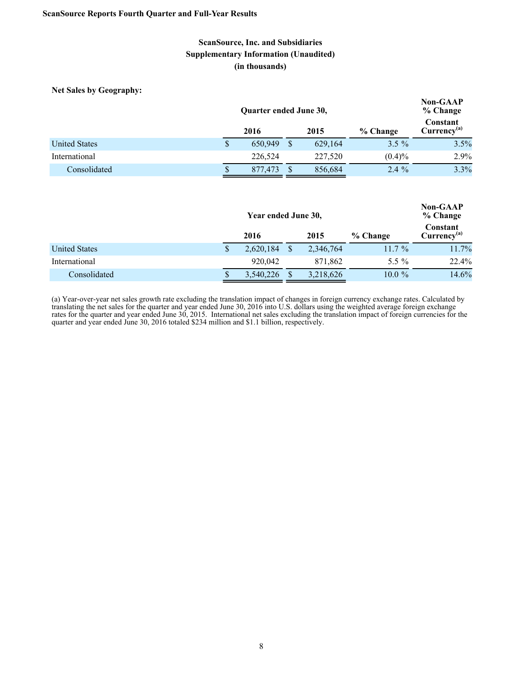**Net Sales by Geography:**

|                      | Quarter ended June 30, |   |         |           | <b>Non-GAAP</b><br>% Change         |
|----------------------|------------------------|---|---------|-----------|-------------------------------------|
|                      | 2016                   |   | 2015    | % Change  | Constant<br>Currency <sup>(a)</sup> |
| <b>United States</b> | \$<br>650,949          | S | 629.164 | $3.5\%$   | 3.5%                                |
| International        | 226.524                |   | 227,520 | $(0.4)\%$ | $2.9\%$                             |
| Consolidated         | 877.473                |   | 856,684 | $2.4\%$   | 3.3%                                |

|                      | Year ended June 30, |                 |           | <b>Non-GAAP</b><br>% Change  |
|----------------------|---------------------|-----------------|-----------|------------------------------|
|                      | 2016                | 2015            | % Change  | Constant<br>$Currency^{(a)}$ |
| <b>United States</b> | 2,620,184           | 2,346,764       | $11.7\%$  | 11.7%                        |
| International        | 920.042             | 871,862         | 5.5 $\%$  | 22.4%                        |
| Consolidated         | 3,540,226           | \$<br>3,218,626 | $10.0 \%$ | 14.6%                        |

(a) Year-over-year net sales growth rate excluding the translation impact of changes in foreign currency exchange rates. Calculated by translating the net sales for the quarter and year ended June 30, 2016 into U.S. dollars using the weighted average foreign exchange rates for the quarter and year ended June 30, 2015. International net sales excluding the translation impact of foreign currencies for the quarter and year ended June 30, 2016 totaled \$234 million and \$1.1 billion, respectively.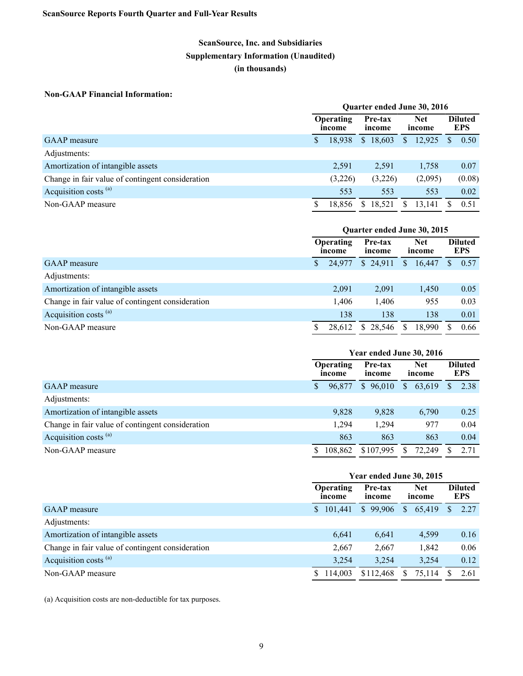### **Non-GAAP Financial Information:**

|                                                  | Quarter ended June 30, 2016                                      |         |    |          |                              |         |  |        |
|--------------------------------------------------|------------------------------------------------------------------|---------|----|----------|------------------------------|---------|--|--------|
|                                                  | <b>Net</b><br>Operating<br>Pre-tax<br>income<br>income<br>income |         |    |          | <b>Diluted</b><br><b>EPS</b> |         |  |        |
| <b>GAAP</b> measure                              |                                                                  | 18.938  |    | \$18,603 | $\mathbb{S}$                 | 12,925  |  | 0.50   |
| Adjustments:                                     |                                                                  |         |    |          |                              |         |  |        |
| Amortization of intangible assets                |                                                                  | 2.591   |    | 2.591    |                              | 1,758   |  | 0.07   |
| Change in fair value of contingent consideration |                                                                  | (3,226) |    | (3,226)  |                              | (2,095) |  | (0.08) |
| Acquisition costs <sup>(a)</sup>                 |                                                                  | 553     |    | 553      |                              | 553     |  | 0.02   |
| Non-GAAP measure                                 |                                                                  | 18.856  | S. | 18,521   | S.                           | 13.141  |  | 0.51   |

|                                                  | Quarter ended June 30, 2015 |                            |  |                   |                |                      |  |                              |  |
|--------------------------------------------------|-----------------------------|----------------------------|--|-------------------|----------------|----------------------|--|------------------------------|--|
|                                                  |                             | <b>Operating</b><br>income |  | Pre-tax<br>income |                | <b>Net</b><br>income |  | <b>Diluted</b><br><b>EPS</b> |  |
| <b>GAAP</b> measure                              |                             | 24,977                     |  | \$24,911          | $\mathbb{S}^-$ | 16.447               |  | 0.57                         |  |
| Adjustments:                                     |                             |                            |  |                   |                |                      |  |                              |  |
| Amortization of intangible assets                |                             | 2,091                      |  | 2,091             |                | 1,450                |  | 0.05                         |  |
| Change in fair value of contingent consideration |                             | 1,406                      |  | 1.406             |                | 955                  |  | 0.03                         |  |
| Acquisition costs <sup>(a)</sup>                 |                             | 138                        |  | 138               |                | 138                  |  | 0.01                         |  |
| Non-GAAP measure                                 |                             | 28,612                     |  | \$28,546          | S              | 18.990               |  | 0.66                         |  |

|                                                  | Year ended June 30, 2016 |                            |                   |  |                      |               |                              |
|--------------------------------------------------|--------------------------|----------------------------|-------------------|--|----------------------|---------------|------------------------------|
|                                                  |                          | <b>Operating</b><br>income | Pre-tax<br>income |  | <b>Net</b><br>income |               | <b>Diluted</b><br><b>EPS</b> |
| <b>GAAP</b> measure                              |                          | 96.877                     | \$96,010          |  | \$63,619             | <sup>\$</sup> | 2.38                         |
| Adjustments:                                     |                          |                            |                   |  |                      |               |                              |
| Amortization of intangible assets                |                          | 9.828                      | 9,828             |  | 6,790                |               | 0.25                         |
| Change in fair value of contingent consideration |                          | 1.294                      | 1.294             |  | 977                  |               | 0.04                         |
| Acquisition costs <sup>(a)</sup>                 |                          | 863                        | 863               |  | 863                  |               | 0.04                         |
| Non-GAAP measure                                 |                          | 108,862                    | \$107,995         |  | 72,249               |               | 2.71                         |

|                                                  | Year ended June 30, 2015   |                   |                        |                              |  |  |  |  |
|--------------------------------------------------|----------------------------|-------------------|------------------------|------------------------------|--|--|--|--|
|                                                  | <b>Operating</b><br>income | Pre-tax<br>income | <b>Net</b><br>income   | <b>Diluted</b><br><b>EPS</b> |  |  |  |  |
| <b>GAAP</b> measure                              | \$101,441                  | \$99,906          | 65,419<br>$\mathbb{S}$ | 2.27<br>S                    |  |  |  |  |
| Adjustments:                                     |                            |                   |                        |                              |  |  |  |  |
| Amortization of intangible assets                | 6,641                      | 6,641             | 4,599                  | 0.16                         |  |  |  |  |
| Change in fair value of contingent consideration | 2,667                      | 2,667             | 1,842                  | 0.06                         |  |  |  |  |
| Acquisition costs <sup>(a)</sup>                 | 3,254                      | 3.254             | 3,254                  | 0.12                         |  |  |  |  |
| Non-GAAP measure                                 | 114,003                    | \$112,468         | 75,114<br>S.           | 2.61                         |  |  |  |  |

(a) Acquisition costs are non-deductible for tax purposes.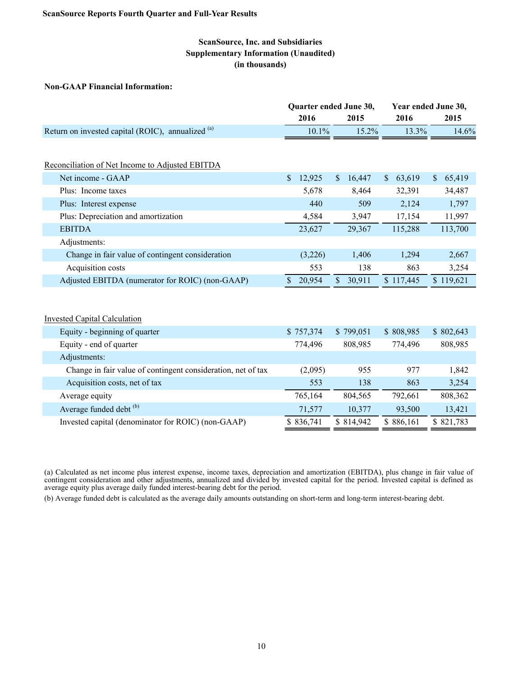#### **Non-GAAP Financial Information:**

|                                                              | Quarter ended June 30, |                        | Year ended June 30,    |                        |
|--------------------------------------------------------------|------------------------|------------------------|------------------------|------------------------|
|                                                              | 2016                   | 2015                   | 2016                   | 2015                   |
| Return on invested capital (ROIC), annualized (a)            | 10.1%                  | 15.2%                  | 13.3%                  | 14.6%                  |
|                                                              |                        |                        |                        |                        |
| Reconciliation of Net Income to Adjusted EBITDA              |                        |                        |                        |                        |
| Net income - GAAP                                            | 12,925<br>\$           | $\mathbb{S}$<br>16,447 | 63,619<br>$\mathbb{S}$ | $\mathbb{S}$<br>65,419 |
| Plus: Income taxes                                           | 5,678                  | 8,464                  | 32,391                 | 34,487                 |
| Plus: Interest expense                                       | 440                    | 509                    | 2,124                  | 1,797                  |
| Plus: Depreciation and amortization                          | 4,584                  | 3,947                  | 17,154                 | 11,997                 |
| <b>EBITDA</b>                                                | 23,627                 | 29,367                 | 115,288                | 113,700                |
| Adjustments:                                                 |                        |                        |                        |                        |
| Change in fair value of contingent consideration             | (3,226)                | 1,406                  | 1,294                  | 2,667                  |
| Acquisition costs                                            | 553                    | 138                    | 863                    | 3,254                  |
| Adjusted EBITDA (numerator for ROIC) (non-GAAP)              | 20,954<br>\$           | 30,911<br>$\mathbb{S}$ | \$117,445              | \$119,621              |
|                                                              |                        |                        |                        |                        |
|                                                              |                        |                        |                        |                        |
| <b>Invested Capital Calculation</b>                          |                        |                        |                        |                        |
| Equity - beginning of quarter                                | \$757,374              | \$799,051              | \$808,985              | \$802,643              |
| Equity - end of quarter                                      | 774,496                | 808,985                | 774,496                | 808,985                |
| Adjustments:                                                 |                        |                        |                        |                        |
| Change in fair value of contingent consideration, net of tax | (2,095)                | 955                    | 977                    | 1,842                  |
| Acquisition costs, net of tax                                | 553                    | 138                    | 863                    | 3,254                  |
| Average equity                                               | 765,164                | 804,565                | 792,661                | 808,362                |
| Average funded debt <sup>(b)</sup>                           | 71,577                 | 10,377                 | 93,500                 | 13,421                 |
| Invested capital (denominator for ROIC) (non-GAAP)           | \$836,741              | \$814,942              | \$886,161              | \$821,783              |

(a) Calculated as net income plus interest expense, income taxes, depreciation and amortization (EBITDA), plus change in fair value of contingent consideration and other adjustments, annualized and divided by invested capital for the period. Invested capital is defined as average equity plus average daily funded interest-bearing debt for the period.

(b) Average funded debt is calculated as the average daily amounts outstanding on short-term and long-term interest-bearing debt.